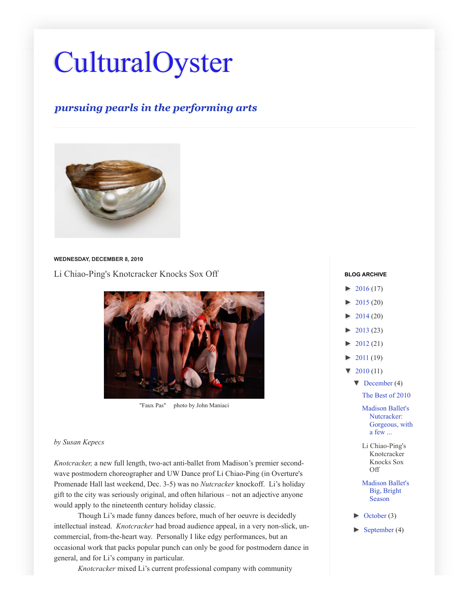# **[CulturalOyster](http://culturaloysterwut.blogspot.com/)**

## *pursuing pearls in the performing arts*



#### **WEDNESDAY, DECEMBER 8, 2010**

[Li Chiao-Ping's Knotcracker Knocks Sox Off](http://culturaloysterwut.blogspot.com/2010/12/li-chiao-pings-knotcracker-knocks.html)



"Faux Pas" photo by John Maniaci

#### *by Susan Kepecs*

*Knotcracker,* a new full length, two-act anti-ballet from Madison's premier secondwave postmodern choreographer and UW Dance prof Li Chiao-Ping (in Overture's Promenade Hall last weekend, Dec. 3-5) was no *Nutcracker* knockoff. Li's holiday gift to the city was seriously original, and often hilarious – not an adjective anyone would apply to the nineteenth century holiday classic.

Though Li's made funny dances before, much of her oeuvre is decidedly intellectual instead. *Knotcracker* had broad audience appeal, in a very non-slick, uncommercial, from-the-heart way. Personally I like edgy performances, but an occasional work that packs popular punch can only be good for postmodern dance in general, and for Li's company in particular.

*Knotcracker* mixed Li's current professional company with community

### $\blacktriangleright$  [2016 \(](http://culturaloysterwut.blogspot.com/search?updated-min=2016-01-01T00:00:00-08:00&updated-max=2017-01-01T00:00:00-08:00&max-results=17)17) **BLOG ARCHIVE**

- [►](javascript:void(0)) [2015 \(](http://culturaloysterwut.blogspot.com/search?updated-min=2015-01-01T00:00:00-08:00&updated-max=2016-01-01T00:00:00-08:00&max-results=20)20) [►](javascript:void(0)) [2014 \(](http://culturaloysterwut.blogspot.com/search?updated-min=2014-01-01T00:00:00-08:00&updated-max=2015-01-01T00:00:00-08:00&max-results=20)20) [►](javascript:void(0)) [2013 \(](http://culturaloysterwut.blogspot.com/search?updated-min=2013-01-01T00:00:00-08:00&updated-max=2014-01-01T00:00:00-08:00&max-results=23)23)  $2012(21)$ [►](javascript:void(0)) [2011 \(](http://culturaloysterwut.blogspot.com/search?updated-min=2011-01-01T00:00:00-08:00&updated-max=2012-01-01T00:00:00-08:00&max-results=19)19)  $\blacktriangledown$  [2010 \(](http://culturaloysterwut.blogspot.com/search?updated-min=2010-01-01T00:00:00-08:00&updated-max=2011-01-01T00:00:00-08:00&max-results=11)11)  $\blacktriangledown$  [December](http://culturaloysterwut.blogspot.com/2010_12_01_archive.html) (4) [The Best of 2010](http://culturaloysterwut.blogspot.com/2010/12/best-of-2010.html) [Madison Ballet's](http://culturaloysterwut.blogspot.com/2010/12/madison-ballets-nutcracker-gorgeous.html) Nutcracker: Gorgeous, with a few ... [Li Chiao-Ping's](http://culturaloysterwut.blogspot.com/2010/12/li-chiao-pings-knotcracker-knocks.html) Knotcracker Knocks Sox Off [Madison Ballet's](http://culturaloysterwut.blogspot.com/2010/12/madison-ballets-big-bright-upcoming.html) Big, Bright Season [►](javascript:void(0)) [October \(](http://culturaloysterwut.blogspot.com/2010_10_01_archive.html)3)
	- $\blacktriangleright$  [September \(](http://culturaloysterwut.blogspot.com/2010_09_01_archive.html)4)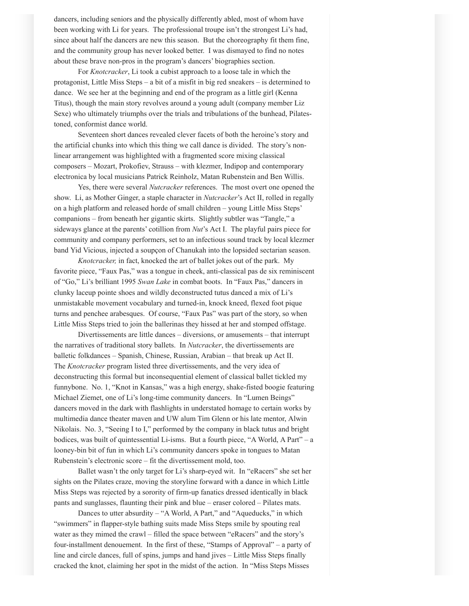dancers, including seniors and the physically differently abled, most of whom have been working with Li for years. The professional troupe isn't the strongest Li's had, since about half the dancers are new this season. But the choreography fit them fine, and the community group has never looked better. I was dismayed to find no notes about these brave non-pros in the program's dancers' biographies section.

For *Knotcracker*, Li took a cubist approach to a loose tale in which the protagonist, Little Miss Steps – a bit of a misfit in big red sneakers – is determined to dance. We see her at the beginning and end of the program as a little girl (Kenna Titus), though the main story revolves around a young adult (company member Liz Sexe) who ultimately triumphs over the trials and tribulations of the bunhead, Pilatestoned, conformist dance world.

Seventeen short dances revealed clever facets of both the heroine's story and the artificial chunks into which this thing we call dance is divided. The story's nonlinear arrangement was highlighted with a fragmented score mixing classical composers – Mozart, Prokofiev, Strauss – with klezmer, Indipop and contemporary electronica by local musicians Patrick Reinholz, Matan Rubenstein and Ben Willis.

Yes, there were several *Nutcracker* references. The most overt one opened the show. Li, as Mother Ginger, a staple character in *Nutcracker*'s Act II, rolled in regally on a high platform and released horde of small children – young Little Miss Steps' companions – from beneath her gigantic skirts. Slightly subtler was "Tangle," a sideways glance at the parents' cotillion from *Nut*'s Act I. The playful pairs piece for community and company performers, set to an infectious sound track by local klezmer band Yid Vicious, injected a soupçon of Chanukah into the lopsided sectarian season.

*Knotcracker,* in fact, knocked the art of ballet jokes out of the park. My favorite piece, "Faux Pas," was a tongue in cheek, anti-classical pas de six reminiscent of "Go," Li's brilliant 1995 *Swan Lake* in combat boots. In "Faux Pas," dancers in clunky laceup pointe shoes and wildly deconstructed tutus danced a mix of Li's unmistakable movement vocabulary and turned-in, knock kneed, flexed foot pique turns and penchee arabesques. Of course, "Faux Pas" was part of the story, so when Little Miss Steps tried to join the ballerinas they hissed at her and stomped offstage.

Divertissements are little dances – diversions, or amusements – that interrupt the narratives of traditional story ballets. In *Nutcracker*, the divertissements are balletic folkdances – Spanish, Chinese, Russian, Arabian – that break up Act II. The *Knotcracker* program listed three divertissements, and the very idea of deconstructing this formal but inconsequential element of classical ballet tickled my funnybone. No. 1, "Knot in Kansas," was a high energy, shake-fisted boogie featuring Michael Ziemet, one of Li's long-time community dancers. In "Lumen Beings" dancers moved in the dark with flashlights in understated homage to certain works by multimedia dance theater maven and UW alum Tim Glenn or his late mentor, Alwin Nikolais. No. 3, "Seeing I to I," performed by the company in black tutus and bright bodices, was built of quintessential Li-isms. But a fourth piece, "A World, A Part" – a looney-bin bit of fun in which Li's community dancers spoke in tongues to Matan Rubenstein's electronic score – fit the divertissement mold, too.

Ballet wasn't the only target for Li's sharp-eyed wit. In "eRacers" she set her sights on the Pilates craze, moving the storyline forward with a dance in which Little Miss Steps was rejected by a sorority of firm-up fanatics dressed identically in black pants and sunglasses, flaunting their pink and blue – eraser colored – Pilates mats.

Dances to utter absurdity – "A World, A Part," and "Aqueducks," in which "swimmers" in flapper-style bathing suits made Miss Steps smile by spouting real water as they mimed the crawl – filled the space between "eRacers" and the story's four-installment denouement. In the first of these, "Stamps of Approval" – a party of line and circle dances, full of spins, jumps and hand jives – Little Miss Steps finally cracked the knot, claiming her spot in the midst of the action. In "Miss Steps Misses